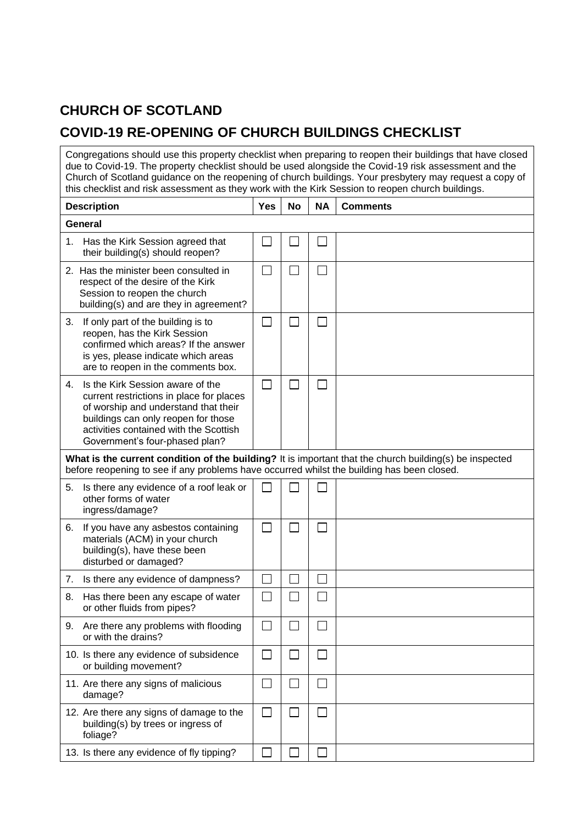## **CHURCH OF SCOTLAND**

## **COVID-19 RE-OPENING OF CHURCH BUILDINGS CHECKLIST**

| Congregations should use this property checklist when preparing to reopen their buildings that have closed<br>due to Covid-19. The property checklist should be used alongside the Covid-19 risk assessment and the<br>Church of Scotland guidance on the reopening of church buildings. Your presbytery may request a copy of<br>this checklist and risk assessment as they work with the Kirk Session to reopen church buildings. |            |           |           |                 |  |
|-------------------------------------------------------------------------------------------------------------------------------------------------------------------------------------------------------------------------------------------------------------------------------------------------------------------------------------------------------------------------------------------------------------------------------------|------------|-----------|-----------|-----------------|--|
| <b>Description</b>                                                                                                                                                                                                                                                                                                                                                                                                                  | <b>Yes</b> | <b>No</b> | <b>NA</b> | <b>Comments</b> |  |
| <b>General</b>                                                                                                                                                                                                                                                                                                                                                                                                                      |            |           |           |                 |  |
| Has the Kirk Session agreed that<br>1.<br>their building(s) should reopen?                                                                                                                                                                                                                                                                                                                                                          | $\Box$     |           |           |                 |  |
| 2. Has the minister been consulted in<br>respect of the desire of the Kirk<br>Session to reopen the church<br>building(s) and are they in agreement?                                                                                                                                                                                                                                                                                | $\Box$     |           |           |                 |  |
| If only part of the building is to<br>3.<br>reopen, has the Kirk Session<br>confirmed which areas? If the answer<br>is yes, please indicate which areas<br>are to reopen in the comments box.                                                                                                                                                                                                                                       | $\Box$     |           |           |                 |  |
| Is the Kirk Session aware of the<br>4.<br>current restrictions in place for places<br>of worship and understand that their<br>buildings can only reopen for those<br>activities contained with the Scottish<br>Government's four-phased plan?                                                                                                                                                                                       | $\Box$     |           |           |                 |  |
| What is the current condition of the building? It is important that the church building(s) be inspected<br>before reopening to see if any problems have occurred whilst the building has been closed.                                                                                                                                                                                                                               |            |           |           |                 |  |
| Is there any evidence of a roof leak or<br>5.<br>other forms of water<br>ingress/damage?                                                                                                                                                                                                                                                                                                                                            |            |           |           |                 |  |
| If you have any asbestos containing<br>6.<br>materials (ACM) in your church<br>building(s), have these been<br>disturbed or damaged?                                                                                                                                                                                                                                                                                                | $\Box$     |           |           |                 |  |
| 7.<br>Is there any evidence of dampness?                                                                                                                                                                                                                                                                                                                                                                                            | $\Box$     | ٮ         | ᆸ         |                 |  |
| Has there been any escape of water<br>8.<br>or other fluids from pipes?                                                                                                                                                                                                                                                                                                                                                             | $\Box$     |           |           |                 |  |
| Are there any problems with flooding<br>9.<br>or with the drains?                                                                                                                                                                                                                                                                                                                                                                   | $\Box$     |           | $\sim$    |                 |  |
| 10. Is there any evidence of subsidence<br>or building movement?                                                                                                                                                                                                                                                                                                                                                                    | $\Box$     |           | $\sim$    |                 |  |
| 11. Are there any signs of malicious<br>damage?                                                                                                                                                                                                                                                                                                                                                                                     | $\Box$     |           |           |                 |  |
| 12. Are there any signs of damage to the<br>building(s) by trees or ingress of<br>foliage?                                                                                                                                                                                                                                                                                                                                          | $\Box$     |           | $\sim$    |                 |  |
| 13. Is there any evidence of fly tipping?                                                                                                                                                                                                                                                                                                                                                                                           | $\Box$     |           |           |                 |  |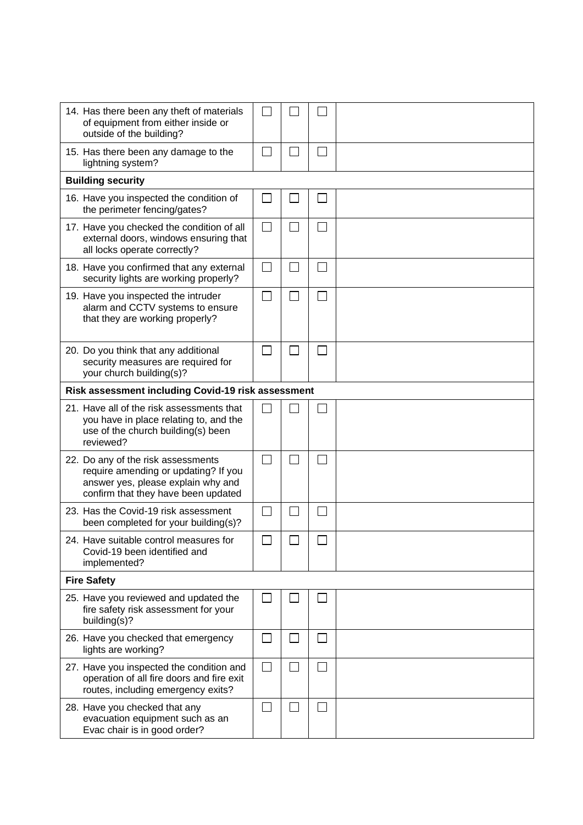| 14. Has there been any theft of materials<br>of equipment from either inside or<br>outside of the building?                                             |                          |  |                |  |  |  |  |
|---------------------------------------------------------------------------------------------------------------------------------------------------------|--------------------------|--|----------------|--|--|--|--|
| 15. Has there been any damage to the<br>lightning system?                                                                                               |                          |  | $\sim$         |  |  |  |  |
| <b>Building security</b>                                                                                                                                |                          |  |                |  |  |  |  |
| 16. Have you inspected the condition of<br>the perimeter fencing/gates?                                                                                 | $\sim$                   |  |                |  |  |  |  |
| 17. Have you checked the condition of all<br>external doors, windows ensuring that<br>all locks operate correctly?                                      | $\overline{\phantom{0}}$ |  |                |  |  |  |  |
| 18. Have you confirmed that any external<br>security lights are working properly?                                                                       | $\Box$                   |  | $\sim$         |  |  |  |  |
| 19. Have you inspected the intruder<br>alarm and CCTV systems to ensure<br>that they are working properly?                                              |                          |  |                |  |  |  |  |
| 20. Do you think that any additional<br>security measures are required for<br>your church building(s)?                                                  |                          |  |                |  |  |  |  |
| Risk assessment including Covid-19 risk assessment                                                                                                      |                          |  |                |  |  |  |  |
| 21. Have all of the risk assessments that<br>you have in place relating to, and the<br>use of the church building(s) been<br>reviewed?                  |                          |  |                |  |  |  |  |
| 22. Do any of the risk assessments<br>require amending or updating? If you<br>answer yes, please explain why and<br>confirm that they have been updated | $\Box$                   |  |                |  |  |  |  |
| 23. Has the Covid-19 risk assessment<br>been completed for your building(s)?                                                                            | П                        |  |                |  |  |  |  |
| 24. Have suitable control measures for<br>Covid-19 been identified and<br>implemented?                                                                  |                          |  |                |  |  |  |  |
| <b>Fire Safety</b>                                                                                                                                      |                          |  |                |  |  |  |  |
| 25. Have you reviewed and updated the<br>fire safety risk assessment for your<br>building(s)?                                                           |                          |  |                |  |  |  |  |
| 26. Have you checked that emergency<br>lights are working?                                                                                              | $\mathcal{L}$            |  | $\blacksquare$ |  |  |  |  |
| 27. Have you inspected the condition and<br>operation of all fire doors and fire exit<br>routes, including emergency exits?                             | $\Box$                   |  | $\blacksquare$ |  |  |  |  |
| 28. Have you checked that any<br>evacuation equipment such as an<br>Evac chair is in good order?                                                        | $\Box$                   |  | $\sim$         |  |  |  |  |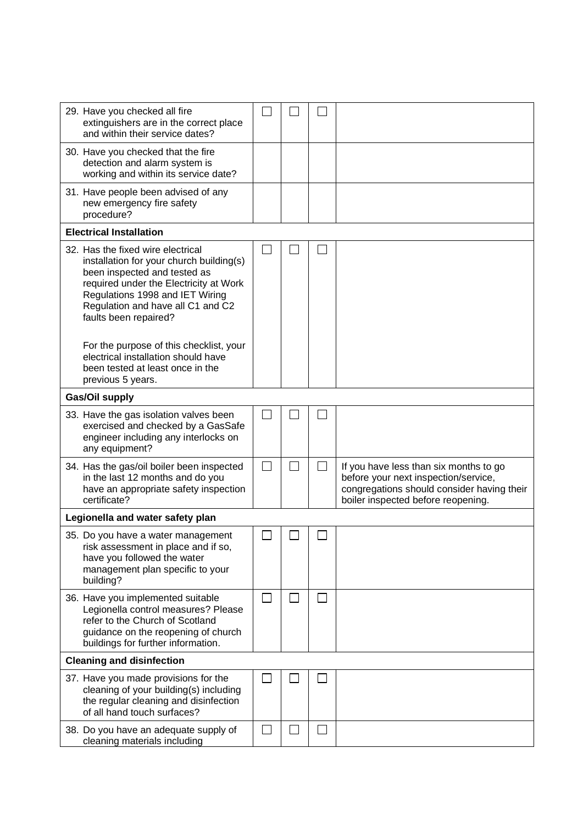| 29. Have you checked all fire<br>extinguishers are in the correct place<br>and within their service dates?                                                                                                                                               |        |              |        |                                                                                                                                                                    |  |  |
|----------------------------------------------------------------------------------------------------------------------------------------------------------------------------------------------------------------------------------------------------------|--------|--------------|--------|--------------------------------------------------------------------------------------------------------------------------------------------------------------------|--|--|
| 30. Have you checked that the fire<br>detection and alarm system is<br>working and within its service date?                                                                                                                                              |        |              |        |                                                                                                                                                                    |  |  |
| 31. Have people been advised of any<br>new emergency fire safety<br>procedure?                                                                                                                                                                           |        |              |        |                                                                                                                                                                    |  |  |
| <b>Electrical Installation</b>                                                                                                                                                                                                                           |        |              |        |                                                                                                                                                                    |  |  |
| 32. Has the fixed wire electrical<br>installation for your church building(s)<br>been inspected and tested as<br>required under the Electricity at Work<br>Regulations 1998 and IET Wiring<br>Regulation and have all C1 and C2<br>faults been repaired? |        |              |        |                                                                                                                                                                    |  |  |
| For the purpose of this checklist, your<br>electrical installation should have<br>been tested at least once in the<br>previous 5 years.                                                                                                                  |        |              |        |                                                                                                                                                                    |  |  |
| Gas/Oil supply                                                                                                                                                                                                                                           |        |              |        |                                                                                                                                                                    |  |  |
| 33. Have the gas isolation valves been<br>exercised and checked by a GasSafe<br>engineer including any interlocks on<br>any equipment?                                                                                                                   |        |              |        |                                                                                                                                                                    |  |  |
| 34. Has the gas/oil boiler been inspected<br>in the last 12 months and do you<br>have an appropriate safety inspection<br>certificate?                                                                                                                   | $\Box$ | $\Box$       | $\Box$ | If you have less than six months to go<br>before your next inspection/service,<br>congregations should consider having their<br>boiler inspected before reopening. |  |  |
| Legionella and water safety plan                                                                                                                                                                                                                         |        |              |        |                                                                                                                                                                    |  |  |
| 35. Do you have a water management<br>risk assessment in place and if so,<br>have you followed the water<br>management plan specific to your<br>building?                                                                                                |        |              |        |                                                                                                                                                                    |  |  |
| 36. Have you implemented suitable<br>Legionella control measures? Please<br>refer to the Church of Scotland<br>guidance on the reopening of church<br>buildings for further information.                                                                 |        | $\mathsf{I}$ |        |                                                                                                                                                                    |  |  |
| <b>Cleaning and disinfection</b>                                                                                                                                                                                                                         |        |              |        |                                                                                                                                                                    |  |  |
| 37. Have you made provisions for the<br>cleaning of your building(s) including<br>the regular cleaning and disinfection<br>of all hand touch surfaces?                                                                                                   |        |              |        |                                                                                                                                                                    |  |  |
| 38. Do you have an adequate supply of<br>cleaning materials including                                                                                                                                                                                    | $\Box$ |              | $\sim$ |                                                                                                                                                                    |  |  |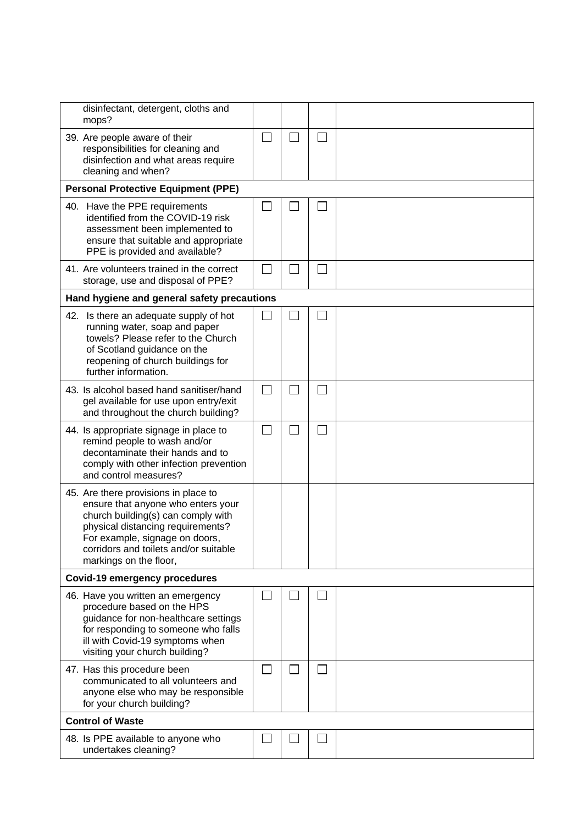| disinfectant, detergent, cloths and<br>mops?                                                                                                                                                                                                               |                          |  |  |  |  |  |
|------------------------------------------------------------------------------------------------------------------------------------------------------------------------------------------------------------------------------------------------------------|--------------------------|--|--|--|--|--|
| 39. Are people aware of their<br>responsibilities for cleaning and<br>disinfection and what areas require<br>cleaning and when?                                                                                                                            | $\Box$                   |  |  |  |  |  |
| <b>Personal Protective Equipment (PPE)</b>                                                                                                                                                                                                                 |                          |  |  |  |  |  |
| 40. Have the PPE requirements<br>identified from the COVID-19 risk<br>assessment been implemented to<br>ensure that suitable and appropriate<br>PPE is provided and available?                                                                             | $\overline{\phantom{a}}$ |  |  |  |  |  |
| 41. Are volunteers trained in the correct<br>storage, use and disposal of PPE?                                                                                                                                                                             | $\mathsf{L}$             |  |  |  |  |  |
| Hand hygiene and general safety precautions                                                                                                                                                                                                                |                          |  |  |  |  |  |
| 42. Is there an adequate supply of hot<br>running water, soap and paper<br>towels? Please refer to the Church<br>of Scotland guidance on the<br>reopening of church buildings for<br>further information.                                                  |                          |  |  |  |  |  |
| 43. Is alcohol based hand sanitiser/hand<br>gel available for use upon entry/exit<br>and throughout the church building?                                                                                                                                   | $\Box$                   |  |  |  |  |  |
| 44. Is appropriate signage in place to<br>remind people to wash and/or<br>decontaminate their hands and to<br>comply with other infection prevention<br>and control measures?                                                                              | $\Box$                   |  |  |  |  |  |
| 45. Are there provisions in place to<br>ensure that anyone who enters your<br>church building(s) can comply with<br>physical distancing requirements?<br>For example, signage on doors,<br>corridors and toilets and/or suitable<br>markings on the floor, |                          |  |  |  |  |  |
| <b>Covid-19 emergency procedures</b>                                                                                                                                                                                                                       |                          |  |  |  |  |  |
| 46. Have you written an emergency<br>procedure based on the HPS<br>guidance for non-healthcare settings<br>for responding to someone who falls<br>ill with Covid-19 symptoms when<br>visiting your church building?                                        | $\Box$                   |  |  |  |  |  |
| 47. Has this procedure been<br>communicated to all volunteers and<br>anyone else who may be responsible<br>for your church building?                                                                                                                       | $\Box$                   |  |  |  |  |  |
| <b>Control of Waste</b>                                                                                                                                                                                                                                    |                          |  |  |  |  |  |
| 48. Is PPE available to anyone who<br>undertakes cleaning?                                                                                                                                                                                                 |                          |  |  |  |  |  |